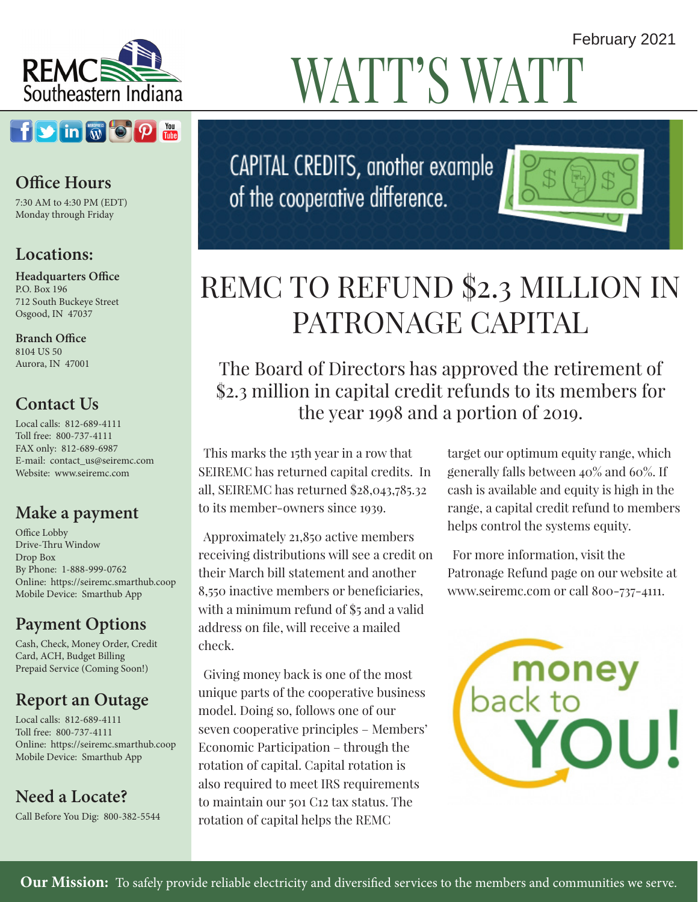

### $f$   $\bullet$   $\left[\text{in}\right]$   $\text{in}\left[\text{in}\right]$   $\text{in}\left[\text{in}\right]$

### **Office Hours**

7:30 AM to 4:30 PM (EDT) Monday through Friday

### **Locations:**

**Headquarters Office** P.O. Box 196 712 South Buckeye Street Osgood, IN 47037

**Branch Office** 8104 US 50 Aurora, IN 47001

### **Contact Us**

Local calls: 812-689-4111 Toll free: 800-737-4111 FAX only: 812-689-6987 E-mail: contact\_us@seiremc.com Website: www.seiremc.com

### **Make a payment**

Office Lobby Drive-Thru Window Drop Box By Phone: 1-888-999-0762 Online: https://seiremc.smarthub.coop Mobile Device: Smarthub App

### **Payment Options**

Cash, Check, Money Order, Credit Card, ACH, Budget Billing Prepaid Service (Coming Soon!)

### **Report an Outage**

Local calls: 812-689-4111 Toll free: 800-737-4111 Online: https://seiremc.smarthub.coop Mobile Device: Smarthub App

**Need a Locate?**

Call Before You Dig: 800-382-5544

# WATT'S WATT

CAPITAL CREDITS, another example of the cooperative difference.

# REMC TO REFUND \$2.3 MILLION IN PATRONAGE CAPITAL

### The Board of Directors has approved the retirement of \$2.3 million in capital credit refunds to its members for the year 1998 and a portion of 2019.

This marks the 15th year in a row that SEIREMC has returned capital credits. In all, SEIREMC has returned \$28,043,785.32 to its member-owners since 1939.

Approximately 21,850 active members receiving distributions will see a credit on their March bill statement and another 8,550 inactive members or beneficiaries, with a minimum refund of \$5 and a valid address on file, will receive a mailed check.

Giving money back is one of the most unique parts of the cooperative business model. Doing so, follows one of our seven cooperative principles – Members' Economic Participation – through the rotation of capital. Capital rotation is also required to meet IRS requirements to maintain our 501 C12 tax status. The rotation of capital helps the REMC

target our optimum equity range, which generally falls between 40% and 60%. If cash is available and equity is high in the range, a capital credit refund to members helps control the systems equity.

For more information, visit the Patronage Refund page on our website at www.seiremc.com or call 800-737-4111.